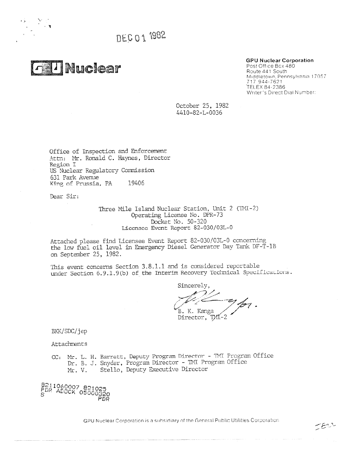DEC 01 1982



# **GPU Nuclear Corporation**

Post Office Box 480 Route 441 South Middletown, Pennsylvania 17057 717 944-7621 TELEX 84-2386 Writer's Direct Dial Number:

October 25, 1982 4410-82-L-0036

Office of Inspection and Enforcement Attn: Mr. Ronald C. Haynes, Director Region I US Nuclear Regulatory Commission 631 Park Avenue King of Prussia, PA 19406

Dear Sir:

Three Mile Island Nuclear Station, Unit 2 (1MI-2) Operating License No. DPR-73 Docket No. 50-320 Licensee Event Report 82-030/03L-0

Attached please find Licensee Event Report 82-030/03L-0 concerning the low fuel oil level in Emergency Diesel Generator Day Tank DF-T-1B on September 25, 1982.

This event concerns Section 3.8.1.1 and is considered reportable under Section 6.9.1.9(b) of the Interim Recovery Technical Specifications.

Sincerely,  $\sqrt{B}$ . K. Kanga / Director, TMI-2

BKK/SDC/jep

**Attachments** 

CC: Mr. L. H. Barrett, Deputy Program Director - 1W Program Office Dr. B. J. Snyder, Program Director - TNT Program Office Mr. V. Stello, Deputy Executive Director

8211060007 821025 *POP* ADC0K 05000320 PDF?

GPU Nuclear Corporation is a subsidiary of the General Public Utilities Corporation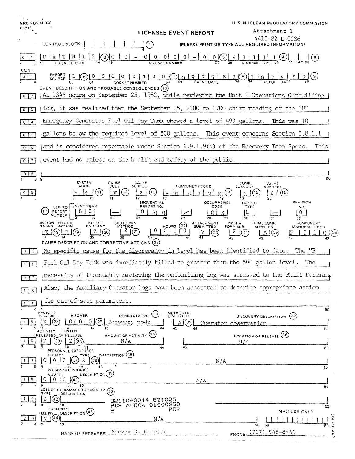| t v<br><b>NRC FORM 366</b><br>(7.77) | ¥<br>U.S. NUCLEAR REGULATORY COMMISSION                                                                                                                                                                                                                           |
|--------------------------------------|-------------------------------------------------------------------------------------------------------------------------------------------------------------------------------------------------------------------------------------------------------------------|
|                                      | Attachment 1<br>LICENSEE EVENT REPORT<br>4410-82-1-0036                                                                                                                                                                                                           |
|                                      | CONTROL BLOCK:<br>(PLEASE PRINT OR TYPE ALL REQUIRED INFORMATION)<br>$\Box$                                                                                                                                                                                       |
|                                      | $\mathbf{0}$<br>01<br>- 0  <br>0 <sup>1</sup><br>$0 0 -1$<br>M<br>I<br>$\overline{a}$<br>0<br>0[0](3)[4]                                                                                                                                                          |
| CON'T<br>$\mathbf{1}$                | REPORT L 6 0 1 5 1 0 1 0 1 3 1 2 1 0 0 0 0 0 $\frac{1}{2}$ 5 $\frac{1}{2}$ 8 1 2 $\frac{1}{2}$ 8<br>(၆)<br>1012<br><u>812</u><br>EVENT DESCRIPTION AND PROBABLE CONSEQUENCES (10)                                                                                 |
| $0$   2                              | (At 1345 hours on September 25, 1982, while reviewing the Unit 2 Operations Outbuilding                                                                                                                                                                           |
| $0 \mid 3$                           | log, it was realized that the September 25, 2300 to 0700 shift reading of the "B"                                                                                                                                                                                 |
| $\overline{4}$<br>$\mathbf{0}$       | Emergency Generator Fuel Oil Day Tank showed a level of 490 gallons.<br>This was 10                                                                                                                                                                               |
| $\overline{5}$<br>$\circ$            | $_{\rm I}$ gallons below the required level of 500 gallons. This event concerns Section 3.8.1.1                                                                                                                                                                   |
| 6<br>$\circ$                         | and is considered reportable under Section $6.9.1.9(b)$ of the Recovery Tech Specs.<br>This                                                                                                                                                                       |
| $\overline{I}$<br>$\circ$            | event had no effect on the health and safety of the public.                                                                                                                                                                                                       |
| 8<br>89                              | 80                                                                                                                                                                                                                                                                |
| 9<br>$\mathbf{0}$                    | SYSTEM<br>CODE<br>CAUSE<br>CODE<br>CAUSE<br>SUBCODE<br>COMP<br>VALVE<br><b>COMPUNENT CODE</b><br>SUBCODE<br>SUBCODE<br>(12)<br>11<br>[13]<br>(16<br>IF.<br>(15<br>12<br>$\overline{19}$<br>13                                                                     |
|                                      | <b>REVISION</b><br><b>SEQUENTIAL</b><br><b>OCCURRENCE</b><br><b>REPORT</b><br>EVENT YEAR<br>REPORT NO.<br>CODE<br>TYPE<br>LER/RO<br>NO.<br>REPORT<br>NUMBER                                                                                                       |
|                                      | 26<br>28<br>ACTION FUTURE<br>TAKEN ACTION<br>EFFECT<br>ON PLANT<br>SHUTDOWN<br><b>ATTACHMENT</b><br>NPRD-4<br>PRIME COMP.<br>COMPONENT<br>(22)<br>HOURS<br><b>METHOD</b><br><b>SUBMITTED</b><br>FORM SUB<br><b>MANUFACTURER</b><br><b>SUPPLIER</b>                |
|                                      | $\overline{0}$<br>01<br>$\binom{21}{3}$<br>$^{(20)}$<br>(18<br>$^{(23)}$<br>(24)<br>$^{\prime}$ 25)<br>(26                                                                                                                                                        |
| $\circ$                              | CAUSE DESCRIPTION AND CORRECTIVE ACTIONS (27)<br>[No specific cause for the discrepancy in level has been identified to date. The "B"                                                                                                                             |
| $\mathbf{1}$                         | Fuel Oil Day Tank was immediately filled to greater than the 500 gallon level.<br>The                                                                                                                                                                             |
| $\blacksquare$                       | precessity of thoroughly reviewing the Outbuilding log was stressed to the Shift Foreman <sub>t</sub>                                                                                                                                                             |
| 3                                    | Also, the Auxiliary Operator logs have been annotated to describe appropriate action                                                                                                                                                                              |
| 4<br>8                               | for out-of-spec parameters.<br>-9<br>80                                                                                                                                                                                                                           |
| 5<br>8                               | <b>FACILITY</b><br>METHOD OF<br>DISCOVERY<br>(30)<br>OTHER STATUS<br>% POWER<br>DISCOVERY DESCRIPTION (32)<br>01<br>0 I<br>01(29)<br>X.<br>(28<br>Recovery mode<br>II 31<br>Operator observation<br>$\mathbf{9}$<br>10 <sup>°</sup><br>12<br>13<br>45<br>46<br>80 |
| 6                                    | CONTENT<br><b>ACTIVITY</b><br>AMOUNT OF ACTIVITY (35)<br>LOCATION OF RELEASE (36)<br>RELEASED OF RELEASE<br>N/A<br>34<br>N/A<br>10<br>45<br>11<br>80                                                                                                              |
|                                      | PERSONNEL EXPOSURES<br>DESCRIPTION (39)<br><b>NUMBER</b><br>TYPE<br>38<br>0<br>N/A                                                                                                                                                                                |
|                                      | 13<br>11<br>80<br>PERSONNEL INJURIES<br>DESCRIPTION(41)<br><b>NUMBER</b>                                                                                                                                                                                          |
| З.                                   | (40)<br>0<br>0<br>Ð<br>N/A<br>11<br>12<br>80                                                                                                                                                                                                                      |
|                                      | LOSS OF OR DAMAGE TO FACILITY (43)<br>TYPE<br><b>DESCRIPTION</b><br>z<br>$\vert$ (42)<br>8211060014 821025                                                                                                                                                        |
|                                      | PDR ADOCK 05000320<br>10<br>80<br><b>PUBLICITY</b><br>PDR<br>NRC USE ONLY<br>DESCRIPTION <sup>(45)</sup><br>ISSUED.                                                                                                                                               |
| 8                                    | (44<br>$\frac{1}{80}$ . $\frac{5}{2}$<br>N/A<br>N<br>9<br>10<br>69<br>68                                                                                                                                                                                          |
|                                      | $\circ$<br>Steven D. Chaplin<br>PHONE: (717) 948-8461<br>NAME OF PREPARER<br>a                                                                                                                                                                                    |